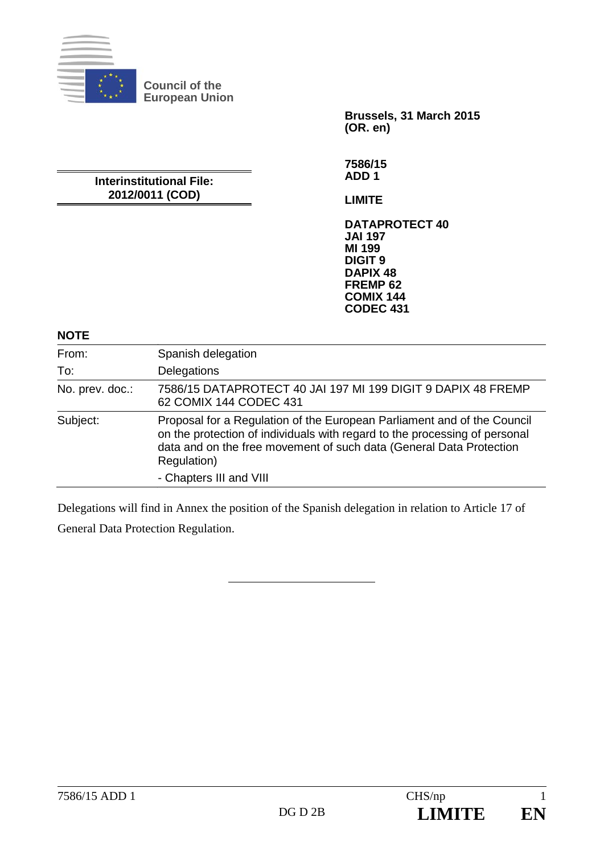

**Council of the European Union** 

> **Brussels, 31 March 2015 (OR. en)**

#### **Interinstitutional File: 2012/0011 (COD)**

**7586/15 ADD 1** 

**LIMITE** 

**DATAPROTECT 40 JAI 197 MI 199 DIGIT 9 DAPIX 48 FREMP 62 COMIX 144 CODEC 431**

#### **NOTE**

| From:           | Spanish delegation                                                                                                                                                                                                                          |
|-----------------|---------------------------------------------------------------------------------------------------------------------------------------------------------------------------------------------------------------------------------------------|
| To:             | Delegations                                                                                                                                                                                                                                 |
| No. prev. doc.: | 7586/15 DATAPROTECT 40 JAI 197 MI 199 DIGIT 9 DAPIX 48 FREMP<br>62 COMIX 144 CODEC 431                                                                                                                                                      |
| Subject:        | Proposal for a Regulation of the European Parliament and of the Council<br>on the protection of individuals with regard to the processing of personal<br>data and on the free movement of such data (General Data Protection<br>Regulation) |
|                 | - Chapters III and VIII                                                                                                                                                                                                                     |

Delegations will find in Annex the position of the Spanish delegation in relation to Article 17 of

General Data Protection Regulation.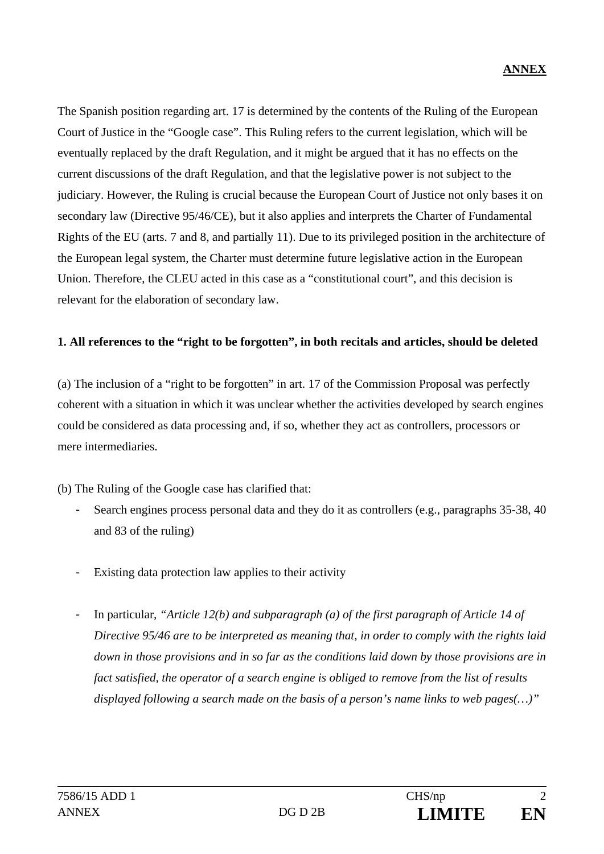The Spanish position regarding art. 17 is determined by the contents of the Ruling of the European Court of Justice in the "Google case". This Ruling refers to the current legislation, which will be eventually replaced by the draft Regulation, and it might be argued that it has no effects on the current discussions of the draft Regulation, and that the legislative power is not subject to the judiciary. However, the Ruling is crucial because the European Court of Justice not only bases it on secondary law (Directive 95/46/CE), but it also applies and interprets the Charter of Fundamental Rights of the EU (arts. 7 and 8, and partially 11). Due to its privileged position in the architecture of the European legal system, the Charter must determine future legislative action in the European Union. Therefore, the CLEU acted in this case as a "constitutional court", and this decision is relevant for the elaboration of secondary law.

#### **1. All references to the "right to be forgotten", in both recitals and articles, should be deleted**

(a) The inclusion of a "right to be forgotten" in art. 17 of the Commission Proposal was perfectly coherent with a situation in which it was unclear whether the activities developed by search engines could be considered as data processing and, if so, whether they act as controllers, processors or mere intermediaries.

(b) The Ruling of the Google case has clarified that:

- Search engines process personal data and they do it as controllers (e.g., paragraphs 35-38, 40 and 83 of the ruling)
- Existing data protection law applies to their activity
- In particular, *"Article 12(b) and subparagraph (a) of the first paragraph of Article 14 of Directive 95/46 are to be interpreted as meaning that, in order to comply with the rights laid down in those provisions and in so far as the conditions laid down by those provisions are in fact satisfied, the operator of a search engine is obliged to remove from the list of results displayed following a search made on the basis of a person's name links to web pages(…)"*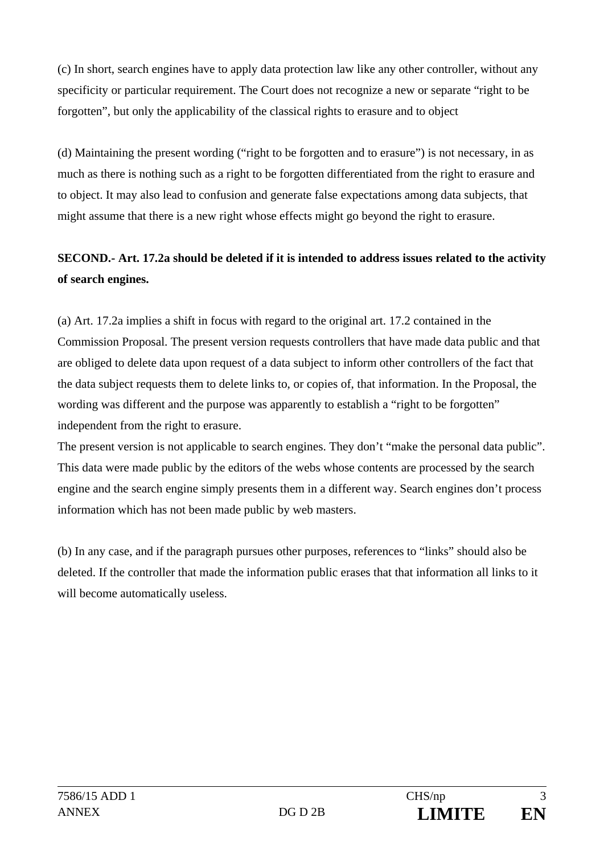(c) In short, search engines have to apply data protection law like any other controller, without any specificity or particular requirement. The Court does not recognize a new or separate "right to be forgotten", but only the applicability of the classical rights to erasure and to object

(d) Maintaining the present wording ("right to be forgotten and to erasure") is not necessary, in as much as there is nothing such as a right to be forgotten differentiated from the right to erasure and to object. It may also lead to confusion and generate false expectations among data subjects, that might assume that there is a new right whose effects might go beyond the right to erasure.

# **SECOND.- Art. 17.2a should be deleted if it is intended to address issues related to the activity of search engines.**

(a) Art. 17.2a implies a shift in focus with regard to the original art. 17.2 contained in the Commission Proposal. The present version requests controllers that have made data public and that are obliged to delete data upon request of a data subject to inform other controllers of the fact that the data subject requests them to delete links to, or copies of, that information. In the Proposal, the wording was different and the purpose was apparently to establish a "right to be forgotten" independent from the right to erasure.

The present version is not applicable to search engines. They don't "make the personal data public". This data were made public by the editors of the webs whose contents are processed by the search engine and the search engine simply presents them in a different way. Search engines don't process information which has not been made public by web masters.

(b) In any case, and if the paragraph pursues other purposes, references to "links" should also be deleted. If the controller that made the information public erases that that information all links to it will become automatically useless.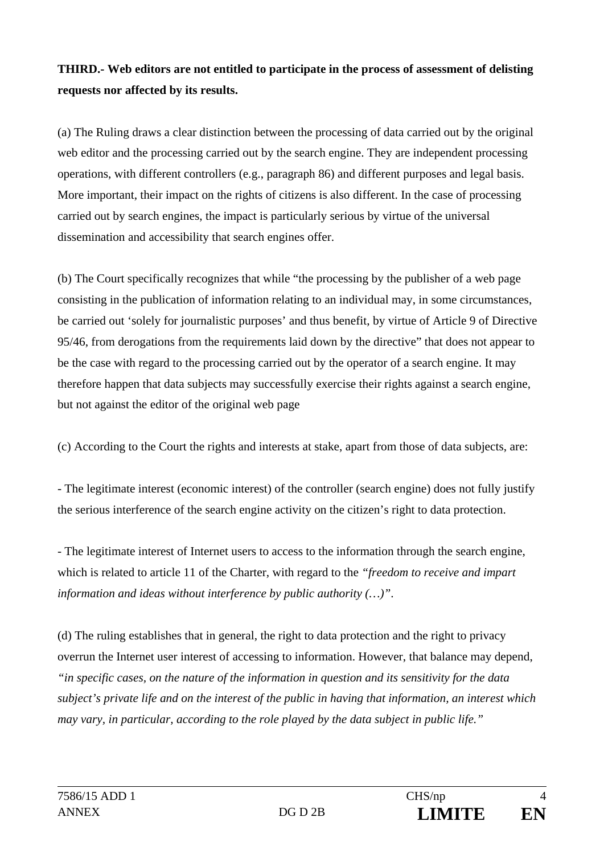# **THIRD.- Web editors are not entitled to participate in the process of assessment of delisting requests nor affected by its results.**

(a) The Ruling draws a clear distinction between the processing of data carried out by the original web editor and the processing carried out by the search engine. They are independent processing operations, with different controllers (e.g., paragraph 86) and different purposes and legal basis. More important, their impact on the rights of citizens is also different. In the case of processing carried out by search engines, the impact is particularly serious by virtue of the universal dissemination and accessibility that search engines offer.

(b) The Court specifically recognizes that while "the processing by the publisher of a web page consisting in the publication of information relating to an individual may, in some circumstances, be carried out 'solely for journalistic purposes' and thus benefit, by virtue of Article 9 of Directive 95/46, from derogations from the requirements laid down by the directive" that does not appear to be the case with regard to the processing carried out by the operator of a search engine. It may therefore happen that data subjects may successfully exercise their rights against a search engine, but not against the editor of the original web page

(c) According to the Court the rights and interests at stake, apart from those of data subjects, are:

- The legitimate interest (economic interest) of the controller (search engine) does not fully justify the serious interference of the search engine activity on the citizen's right to data protection.

- The legitimate interest of Internet users to access to the information through the search engine, which is related to article 11 of the Charter, with regard to the *"freedom to receive and impart information and ideas without interference by public authority (…)"*.

(d) The ruling establishes that in general, the right to data protection and the right to privacy overrun the Internet user interest of accessing to information. However, that balance may depend, *"in specific cases, on the nature of the information in question and its sensitivity for the data subject's private life and on the interest of the public in having that information, an interest which may vary, in particular, according to the role played by the data subject in public life."*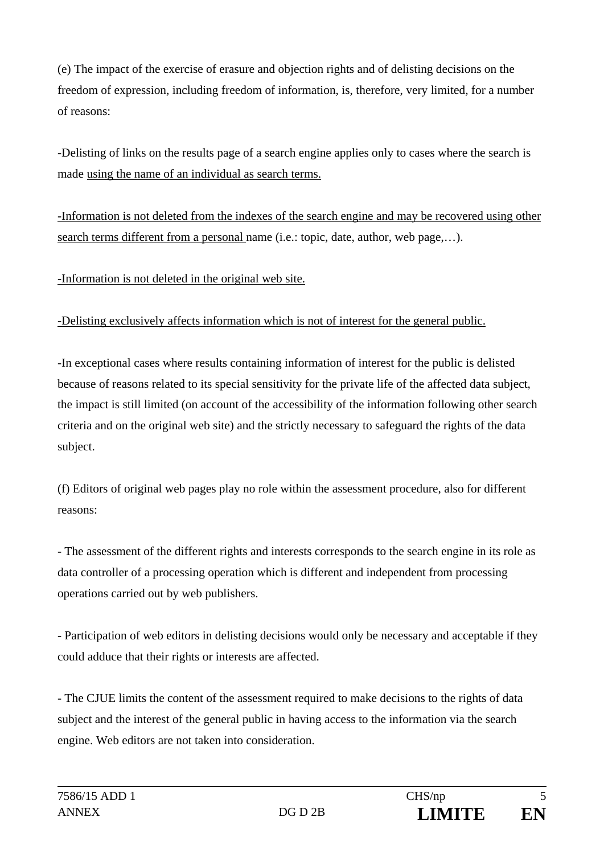(e) The impact of the exercise of erasure and objection rights and of delisting decisions on the freedom of expression, including freedom of information, is, therefore, very limited, for a number of reasons:

-Delisting of links on the results page of a search engine applies only to cases where the search is made using the name of an individual as search terms.

-Information is not deleted from the indexes of the search engine and may be recovered using other search terms different from a personal name (i.e.: topic, date, author, web page,…).

-Information is not deleted in the original web site.

### -Delisting exclusively affects information which is not of interest for the general public.

-In exceptional cases where results containing information of interest for the public is delisted because of reasons related to its special sensitivity for the private life of the affected data subject, the impact is still limited (on account of the accessibility of the information following other search criteria and on the original web site) and the strictly necessary to safeguard the rights of the data subject.

(f) Editors of original web pages play no role within the assessment procedure, also for different reasons:

- The assessment of the different rights and interests corresponds to the search engine in its role as data controller of a processing operation which is different and independent from processing operations carried out by web publishers.

- Participation of web editors in delisting decisions would only be necessary and acceptable if they could adduce that their rights or interests are affected.

- The CJUE limits the content of the assessment required to make decisions to the rights of data subject and the interest of the general public in having access to the information via the search engine. Web editors are not taken into consideration.